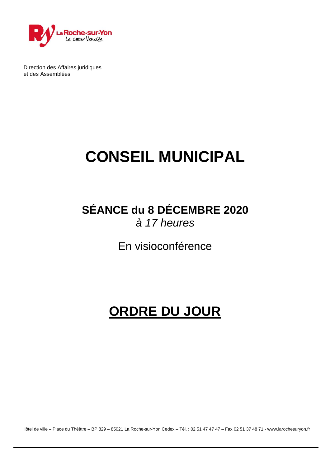

Direction des Affaires juridiques et des Assemblées

# **CONSEIL MUNICIPAL**

### **SÉANCE du 8 DÉCEMBRE 2020** *à 17 heures*

En visioconférence

## **ORDRE DU JOUR**

Hôtel de ville – Place du Théâtre – BP 829 – 85021 La Roche-sur-Yon Cedex – Tél. : 02 51 47 47 47 – Fax 02 51 37 48 71 - [www.larochesuryon.fr](http://www.larochesuryon.fr/)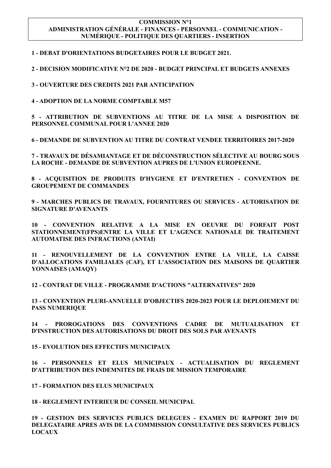#### **COMMISSION N°1 ADMINISTRATION GÉNÉRALE - FINANCES - PERSONNEL - COMMUNICATION - NUMÉRIQUE - POLITIQUE DES QUARTIERS - INSERTION**

**1 - DEBAT D'ORIENTATIONS BUDGETAIRES POUR LE BUDGET 2021.**

**2 - DECISION MODIFICATIVE N°2 DE 2020 - BUDGET PRINCIPAL ET BUDGETS ANNEXES**

**3 - OUVERTURE DES CREDITS 2021 PAR ANTICIPATION**

**4 - ADOPTION DE LA NORME COMPTABLE M57**

**5 - ATTRIBUTION DE SUBVENTIONS AU TITRE DE LA MISE A DISPOSITION DE PERSONNEL COMMUNAL POUR L'ANNEE 2020**

**6 - DEMANDE DE SUBVENTION AU TITRE DU CONTRAT VENDEE TERRITOIRES 2017-2020** 

**7 - TRAVAUX DE DÉSAMIANTAGE ET DE DÉCONSTRUCTION SÉLECTIVE AU BOURG SOUS LA ROCHE - DEMANDE DE SUBVENTION AUPRES DE L'UNION EUROPEENNE.**

**8 - ACQUISITION DE PRODUITS D'HYGIENE ET D'ENTRETIEN - CONVENTION DE GROUPEMENT DE COMMANDES**

**9 - MARCHES PUBLICS DE TRAVAUX, FOURNITURES OU SERVICES - AUTORISATION DE SIGNATURE D'AVENANTS**

**10 - CONVENTION RELATIVE A LA MISE EN OEUVRE DU FORFAIT POST STATIONNEMENT(FPS)ENTRE LA VILLE ET L'AGENCE NATIONALE DE TRAITEMENT AUTOMATISE DES INFRACTIONS (ANTAI)**

**11 - RENOUVELLEMENT DE LA CONVENTION ENTRE LA VILLE, LA CAISSE D'ALLOCATIONS FAMILIALES (CAF), ET L'ASSOCIATION DES MAISONS DE QUARTIER YONNAISES (AMAQY)**

**12 - CONTRAT DE VILLE - PROGRAMME D'ACTIONS "ALTERNATIVES" 2020**

**13 - CONVENTION PLURI-ANNUELLE D'OBJECTIFS 2020-2023 POUR LE DEPLOIEMENT DU PASS NUMERIQUE**

**14 - PROROGATIONS DES CONVENTIONS CADRE DE MUTUALISATION ET D'INSTRUCTION DES AUTORISATIONS DU DROIT DES SOLS PAR AVENANTS**

**15 - EVOLUTION DES EFFECTIFS MUNICIPAUX**

**16 - PERSONNELS ET ELUS MUNICIPAUX - ACTUALISATION DU REGLEMENT D'ATTRIBUTION DES INDEMNITES DE FRAIS DE MISSION TEMPORAIRE**

**17 - FORMATION DES ELUS MUNICIPAUX** 

**18 - REGLEMENT INTERIEUR DU CONSEIL MUNICIPAL**

**19 - GESTION DES SERVICES PUBLICS DELEGUES - EXAMEN DU RAPPORT 2019 DU DELEGATAIRE APRES AVIS DE LA COMMISSION CONSULTATIVE DES SERVICES PUBLICS LOCAUX**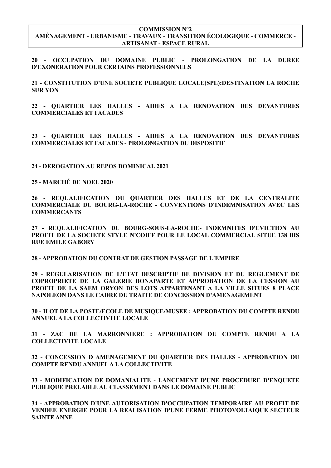#### **COMMISSION N°2 AMÉNAGEMENT - URBANISME - TRAVAUX - TRANSITION ÉCOLOGIQUE - COMMERCE - ARTISANAT - ESPACE RURAL**

**20 - OCCUPATION DU DOMAINE PUBLIC - PROLONGATION DE LA DUREE D'EXONERATION POUR CERTAINS PROFESSIONNELS**

**21 - CONSTITUTION D'UNE SOCIETE PUBLIQUE LOCALE(SPL):DESTINATION LA ROCHE SUR YON**

**22 - QUARTIER LES HALLES - AIDES A LA RENOVATION DES DEVANTURES COMMERCIALES ET FACADES** 

**23 - QUARTIER LES HALLES - AIDES A LA RENOVATION DES DEVANTURES COMMERCIALES ET FACADES - PROLONGATION DU DISPOSITIF** 

**24 - DEROGATION AU REPOS DOMINICAL 2021**

**25 - MARCHÉ DE NOEL 2020**

**26 - REQUALIFICATION DU QUARTIER DES HALLES ET DE LA CENTRALITE COMMERCIALE DU BOURG-LA-ROCHE - CONVENTIONS D'INDEMNISATION AVEC LES COMMERCANTS**

**27 - REQUALIFICATION DU BOURG-SOUS-LA-ROCHE- INDEMNITES D'EVICTION AU PROFIT DE LA SOCIETE STYLE N'COIFF POUR LE LOCAL COMMERCIAL SITUE 138 BIS RUE EMILE GABORY**

**28 - APPROBATION DU CONTRAT DE GESTION PASSAGE DE L'EMPIRE**

**29 - REGULARISATION DE L'ETAT DESCRIPTIF DE DIVISION ET DU REGLEMENT DE COPROPRIETE DE LA GALERIE BONAPARTE ET APPROBATION DE LA CESSION AU PROFIT DE LA SAEM ORYON DES LOTS APPARTENANT A LA VILLE SITUES 8 PLACE NAPOLEON DANS LE CADRE DU TRAITE DE CONCESSION D'AMENAGEMENT**

**30 - ILOT DE LA POSTE/ECOLE DE MUSIQUE/MUSEE : APPROBATION DU COMPTE RENDU ANNUEL A LA COLLECTIVITE LOCALE**

**31 - ZAC DE LA MARRONNIERE : APPROBATION DU COMPTE RENDU A LA COLLECTIVITE LOCALE**

**32 - CONCESSION D AMENAGEMENT DU QUARTIER DES HALLES - APPROBATION DU COMPTE RENDU ANNUEL A LA COLLECTIVITE** 

**33 - MODIFICATION DE DOMANIALITE - LANCEMENT D'UNE PROCEDURE D'ENQUETE PUBLIQUE PRELABLE AU CLASSEMENT DANS LE DOMAINE PUBLIC**

**34 - APPROBATION D'UNE AUTORISATION D'OCCUPATION TEMPORAIRE AU PROFIT DE VENDEE ENERGIE POUR LA REALISATION D'UNE FERME PHOTOVOLTAIQUE SECTEUR SAINTE ANNE**